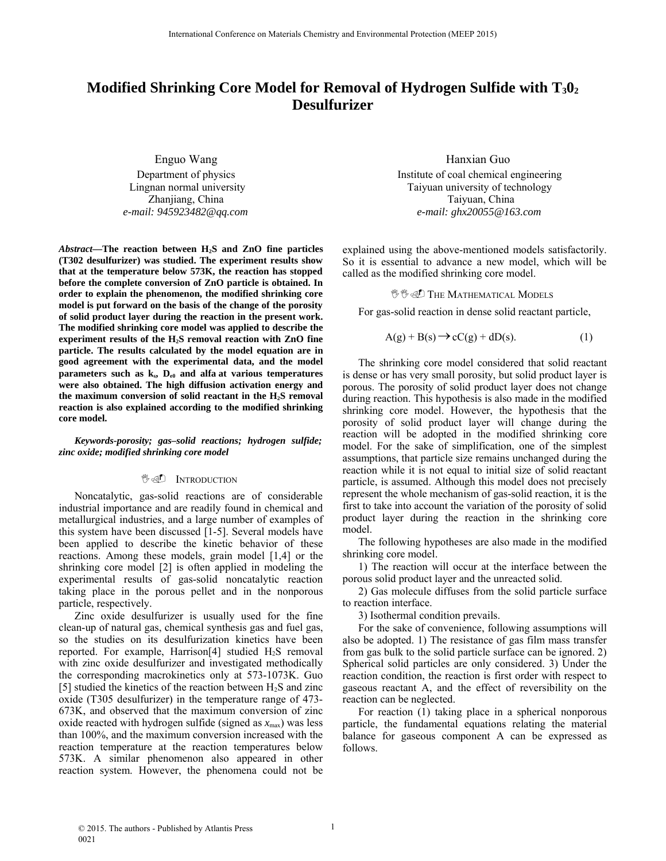# **Modified Shrinking Core Model for Removal of Hydrogen Sulfide with T<sub>3</sub>0<sub>2</sub> Desulfurizer**

Enguo Wang Department of physics Lingnan normal university Zhanjiang, China *e-mail: 945923482@qq.com*

*Abstract***—The reaction between H2S and ZnO fine particles (T302 desulfurizer) was studied. The experiment results show that at the temperature below 573K, the reaction has stopped before the complete conversion of ZnO particle is obtained. In order to explain the phenomenon, the modified shrinking core model is put forward on the basis of the change of the porosity of solid product layer during the reaction in the present work. The modified shrinking core model was applied to describe the experiment results of the H2S removal reaction with ZnO fine particle. The results calculated by the model equation are in good agreement with the experimental data, and the model parameters such as**  $k_{s}$ **,**  $D_{e0}$  **and alfa at various temperatures were also obtained. The high diffusion activation energy and the maximum conversion of solid reactant in the H2S removal reaction is also explained according to the modified shrinking core model.**

*Keywords***-***porosity; gas–solid reactions; hydrogen sulfide; zinc oxide; modified shrinking core model*

### **<sup><sup>1</sup>/**</sup> **INTRODUCTION**

Noncatalytic, gas-solid reactions are of considerable industrial importance and are readily found in chemical and metallurgical industries, and a large number of examples of this system have been discussed [1-5]. Several models have been applied to describe the kinetic behavior of these reactions. Among these models, grain model [1,4] or the shrinking core model [2] is often applied in modeling the experimental results of gas-solid noncatalytic reaction taking place in the porous pellet and in the nonporous particle, respectively.

Zinc oxide desulfurizer is usually used for the fine clean-up of natural gas, chemical synthesis gas and fuel gas, so the studies on its desulfurization kinetics have been reported. For example, Harrison[4] studied H2S removal with zinc oxide desulfurizer and investigated methodically the corresponding macrokinetics only at 573-1073K. Guo [5] studied the kinetics of the reaction between  $H_2S$  and zinc oxide (T305 desulfurizer) in the temperature range of 473- 673K, and observed that the maximum conversion of zinc oxide reacted with hydrogen sulfide (signed as  $x_{\text{max}}$ ) was less than 100%, and the maximum conversion increased with the reaction temperature at the reaction temperatures below 573K. A similar phenomenon also appeared in other reaction system. However, the phenomena could not be

Hanxian Guo Institute of coal chemical engineering Taiyuan university of technology Taiyuan, China *e-mail: ghx20055@163.com*

explained using the above-mentioned models satisfactorily. So it is essential to advance a new model, which will be called as the modified shrinking core model.

#### **<sup>U</sup>U THE MATHEMATICAL MODELS**

For gas-solid reaction in dense solid reactant particle,

$$
A(g) + B(s) \rightarrow cC(g) + dD(s).
$$
 (1)

The shrinking core model considered that solid reactant is dense or has very small porosity, but solid product layer is porous. The porosity of solid product layer does not change during reaction. This hypothesis is also made in the modified shrinking core model. However, the hypothesis that the porosity of solid product layer will change during the reaction will be adopted in the modified shrinking core model. For the sake of simplification, one of the simplest assumptions, that particle size remains unchanged during the reaction while it is not equal to initial size of solid reactant particle, is assumed. Although this model does not precisely represent the whole mechanism of gas-solid reaction, it is the first to take into account the variation of the porosity of solid product layer during the reaction in the shrinking core model.

The following hypotheses are also made in the modified shrinking core model.

1) The reaction will occur at the interface between the porous solid product layer and the unreacted solid.

2) Gas molecule diffuses from the solid particle surface to reaction interface.

3) Isothermal condition prevails.

For the sake of convenience, following assumptions will also be adopted. 1) The resistance of gas film mass transfer from gas bulk to the solid particle surface can be ignored. 2) Spherical solid particles are only considered. 3) Under the reaction condition, the reaction is first order with respect to gaseous reactant A, and the effect of reversibility on the reaction can be neglected.

For reaction (1) taking place in a spherical nonporous particle, the fundamental equations relating the material balance for gaseous component A can be expressed as follows.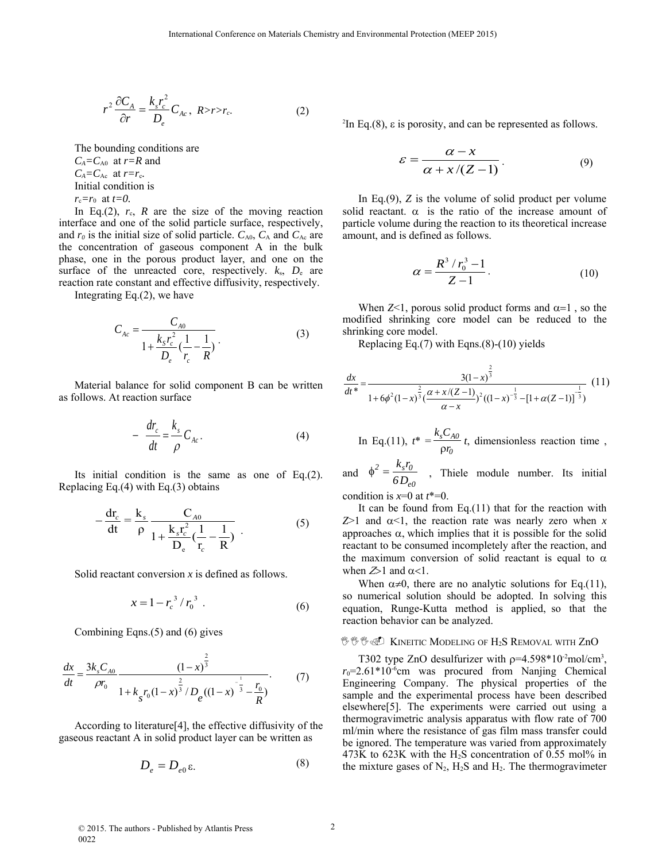$$
r^2 \frac{\partial C_A}{\partial r} = \frac{k_s r_c^2}{D_e} C_{Ac}, \ R > r > r_c.
$$
 (2)

The bounding conditions are *CA=C*A0at *r=R* and  $C_A = C_{Ac}$  at  $r = r_c$ . Initial condition is  $r_c = r_0$  at  $t = 0$ .

In Eq.(2),  $r_c$ ,  $R$  are the size of the moving reaction interface and one of the solid particle surface, respectively, and  $r_0$  is the initial size of solid particle.  $C_{A0}$ ,  $C_A$  and  $C_{Ac}$  are the concentration of gaseous component A in the bulk phase, one in the porous product layer, and one on the surface of the unreacted core, respectively.  $k_s$ ,  $D_e$  are reaction rate constant and effective diffusivity, respectively.

Integrating Eq.(2), we have

$$
C_{Ac} = \frac{C_{A0}}{1 + \frac{k_S r_c^2}{D_e} (\frac{1}{r_c} - \frac{1}{R})}.
$$
 (3)

Material balance for solid component B can be written as follows. At reaction surface

$$
-\frac{dr_c}{dt} = \frac{k_s}{\rho} C_{Ac}.
$$
 (4)

Its initial condition is the same as one of Eq.(2). Replacing Eq.(4) with Eq.(3) obtains

$$
-\frac{dr_c}{dt} = \frac{k_s}{\rho} \frac{C_{A0}}{1 + \frac{k_s r_c^2}{D_e} (\frac{1}{r_c} - \frac{1}{R})}
$$
(5)

Solid reactant conversion *x* is defined as follows.

$$
x = 1 - r_c^3 / r_0^3 \tag{6}
$$

Combining Eqns.(5) and (6) gives

$$
\frac{dx}{dt} = \frac{3k_s C_{A0}}{\rho r_0} \frac{\left(1 - x\right)^{\frac{2}{3}}}{1 + k_s r_0 \left(1 - x\right)^{\frac{2}{3}} / D_e \left(\left(1 - x\right)^{-\frac{1}{3}} - \frac{r_0}{R}\right)}.
$$
(7)

According to literature[4], the effective diffusivity of the gaseous reactant A in solid product layer can be written as

$$
D_e = D_{e0} \varepsilon. \tag{8}
$$

 ${}^{2}$ In Eq.(8),  $\varepsilon$  is porosity, and can be represented as follows.

$$
\varepsilon = \frac{\alpha - x}{\alpha + x/(Z - 1)}.\tag{9}
$$

In Eq.(9), *Z* is the volume of solid product per volume solid reactant.  $\alpha$  is the ratio of the increase amount of particle volume during the reaction to its theoretical increase amount, and is defined as follows.

$$
\alpha = \frac{R^3 / r_0^3 - 1}{Z - 1}.
$$
 (10)

When  $Z<1$ , porous solid product forms and  $\alpha=1$ , so the modified shrinking core model can be reduced to the shrinking core model.

Replacing Eq.(7) with Eqns.(8)-(10) yields

$$
\frac{dx}{dt^*} = \frac{3(1-x)^{\frac{2}{3}}}{1+6\phi^2(1-x)^{\frac{2}{3}}(\frac{\alpha+x/(Z-1)}{\alpha-x})^2((1-x)^{-\frac{1}{3}}-[1+\alpha(Z-1)]^{\frac{1}{3}})}
$$
(11)

In Eq.(11), 
$$
t^* = \frac{k_s C_{A0}}{\rho r_0} t
$$
, dimensionless reaction time,

and *0e*  $2 - \frac{K_s r_0}{2}$  $\phi^2 = \frac{k_s r_0}{6 D_{e0}}$ , Thiele module number. Its initial condition is  $x=0$  at  $t^*=0$ .

It can be found from Eq. $(11)$  that for the reaction with  $Z > 1$  and  $\alpha < 1$ , the reaction rate was nearly zero when *x* approaches  $\alpha$ , which implies that it is possible for the solid reactant to be consumed incompletely after the reaction, and the maximum conversion of solid reactant is equal to  $\alpha$ when  $\mathcal{Z}$  and  $\alpha$ <1.

When  $\alpha \neq 0$ , there are no analytic solutions for Eq.(11), so numerical solution should be adopted. In solving this equation, Runge-Kutta method is applied, so that the reaction behavior can be analyzed.

## <sup>ツツツ</sup>タ Kineitic Modeling of H<sub>2</sub>S Removal with ZnO

T302 type ZnO desulfurizer with  $p=4.598*10^2$ mol/cm<sup>3</sup>,  $r_0$ =2.61\*10<sup>-6</sup>cm was procured from Nanjing Chemical Engineering Company. The physical properties of the sample and the experimental process have been described elsewhere[5]. The experiments were carried out using a thermogravimetric analysis apparatus with flow rate of 700 ml/min where the resistance of gas film mass transfer could be ignored. The temperature was varied from approximately 473K to 623K with the  $H_2S$  concentration of 0.55 mol% in the mixture gases of  $N_2$ ,  $H_2S$  and  $H_2$ . The thermogravimeter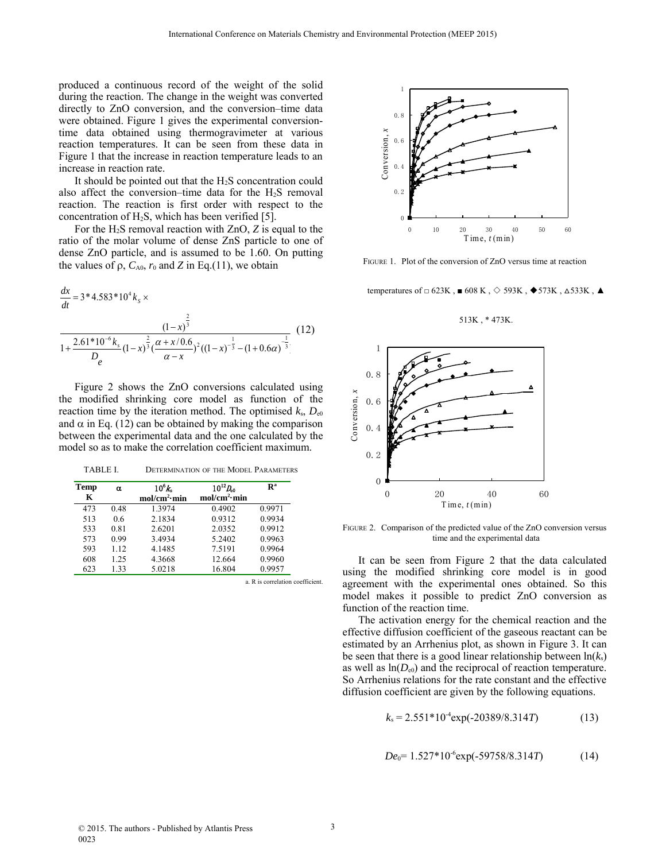produced a continuous record of the weight of the solid during the reaction. The change in the weight was converted directly to ZnO conversion, and the conversion–time data were obtained. Figure 1 gives the experimental conversiontime data obtained using thermogravimeter at various reaction temperatures. It can be seen from these data in Figure 1 that the increase in reaction temperature leads to an increase in reaction rate.

It should be pointed out that the  $H_2S$  concentration could also affect the conversion–time data for the  $H_2S$  removal reaction. The reaction is first order with respect to the concentration of H2S, which has been verified [5].

For the H2S removal reaction with ZnO, *Z* is equal to the ratio of the molar volume of dense ZnS particle to one of dense ZnO particle, and is assumed to be 1.60. On putting the values of  $\rho$ ,  $C_{A0}$ ,  $r_0$  and  $Z$  in Eq.(11), we obtain

$$
\frac{dx}{dt} = 3*4.583*104ks \times \frac{(1-x)^{\frac{2}{3}}}{1+\frac{2.61*10^{-6}k_s}{D_e}(1-x)^{\frac{2}{3}}(\frac{\alpha+x/0.6}{\alpha-x})^2((1-x)^{-\frac{1}{3}}-(1+0.6\alpha)^{-\frac{1}{3}})}
$$
(12)

Figure 2 shows the ZnO conversions calculated using the modified shrinking core model as function of the reaction time by the iteration method. The optimised  $k_s$ ,  $D_{e0}$ and  $\alpha$  in Eq. (12) can be obtained by making the comparison between the experimental data and the one calculated by the model so as to make the correlation coefficient maximum.

TABLE I. DETERMINATION OF THE MODEL PARAMETERS

| <b>Temp</b><br>K | α    | $10^{6}k$<br>mol/cm <sup>2</sup> ·min | $10^{12} D_{0}$<br>mol/cm <sup>2</sup> ·min | $\mathbf{R}^{\mathbf{a}}$ |
|------------------|------|---------------------------------------|---------------------------------------------|---------------------------|
|                  |      |                                       |                                             |                           |
| 513              | 0.6  | 2.1834                                | 0.9312                                      | 0.9934                    |
| 533              | 0.81 | 2.6201                                | 2.0352                                      | 0.9912                    |
| 573              | 0.99 | 3.4934                                | 5.2402                                      | 0.9963                    |
| 593              | 1.12 | 4.1485                                | 7.5191                                      | 0.9964                    |
| 608              | 1.25 | 4.3668                                | 12.664                                      | 0.9960                    |
| 623              | 1.33 | 5.0218                                | 16.804                                      | 0.9957                    |

a. R is correlation coefficient



FIGURE 1. Plot of the conversion of ZnO versus time at reaction

temperatures of  $\Box$  623K,  $\blacksquare$  608 K,  $\diamond$  593K,  $\blacklozenge$  573K,  $\triangle$  533K,  $\blacktriangle$ 

513K , \* 473K.



FIGURE 2. Comparison of the predicted value of the ZnO conversion versus time and the experimental data

It can be seen from Figure 2 that the data calculated using the modified shrinking core model is in good agreement with the experimental ones obtained. So this model makes it possible to predict ZnO conversion as function of the reaction time.

The activation energy for the chemical reaction and the effective diffusion coefficient of the gaseous reactant can be estimated by an Arrhenius plot, as shown in Figure 3. It can be seen that there is a good linear relationship between  $ln(k_s)$ as well as  $ln(D_{e0})$  and the reciprocal of reaction temperature. So Arrhenius relations for the rate constant and the effective diffusion coefficient are given by the following equations.

$$
k_s = 2.551*10^4 \exp(-20389/8.314T) \tag{13}
$$

$$
De_0 = 1.527 * 10^{-6} \exp(-59758/8.314T) \tag{14}
$$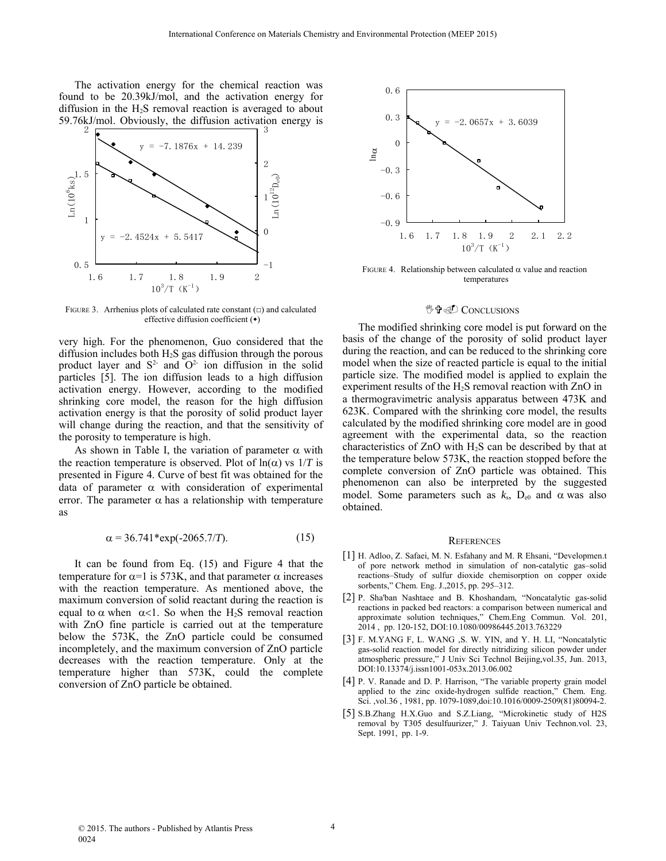The activation energy for the chemical reaction was found to be 20.39kJ/mol, and the activation energy for diffusion in the  $H_2S$  removal reaction is averaged to about 59.76kJ/mol. Obviously, the diffusion activation energy is



FIGURE 3. Arrhenius plots of calculated rate constant  $(\square)$  and calculated effective diffusion coefficient (◆)

very high. For the phenomenon, Guo considered that the diffusion includes both H2S gas diffusion through the porous product layer and  $S<sup>2</sup>$  and  $O<sup>2</sup>$  ion diffusion in the solid particles [5]. The ion diffusion leads to a high diffusion activation energy. However, according to the modified shrinking core model, the reason for the high diffusion activation energy is that the porosity of solid product layer will change during the reaction, and that the sensitivity of the porosity to temperature is high.

As shown in Table I, the variation of parameter  $\alpha$  with the reaction temperature is observed. Plot of  $ln(\alpha)$  vs  $1/T$  is presented in Figure 4. Curve of best fit was obtained for the data of parameter  $\alpha$  with consideration of experimental error. The parameter  $\alpha$  has a relationship with temperature as

$$
\alpha = 36.741 \text{ *exp}(-2065.7/T). \tag{15}
$$

It can be found from Eq. (15) and Figure 4 that the temperature for  $\alpha$ =1 is 573K, and that parameter  $\alpha$  increases with the reaction temperature. As mentioned above, the maximum conversion of solid reactant during the reaction is equal to  $\alpha$  when  $\alpha$ <1. So when the H<sub>2</sub>S removal reaction with ZnO fine particle is carried out at the temperature below the 573K, the ZnO particle could be consumed incompletely, and the maximum conversion of ZnO particle decreases with the reaction temperature. Only at the temperature higher than 573K, could the complete conversion of ZnO particle be obtained.



FIGURE 4. Relationship between calculated  $\alpha$  value and reaction temperatures

### <sup>炒</sup>中@ CONCLUSIONS

The modified shrinking core model is put forward on the basis of the change of the porosity of solid product layer during the reaction, and can be reduced to the shrinking core model when the size of reacted particle is equal to the initial particle size. The modified model is applied to explain the experiment results of the H2S removal reaction with ZnO in a thermogravimetric analysis apparatus between 473K and 623K. Compared with the shrinking core model, the results calculated by the modified shrinking core model are in good agreement with the experimental data, so the reaction characteristics of ZnO with H2S can be described by that at the temperature below 573K, the reaction stopped before the complete conversion of ZnO particle was obtained. This phenomenon can also be interpreted by the suggested model. Some parameters such as  $k_s$ ,  $D_{e0}$  and  $\alpha$  was also obtained.

#### **REFERENCES**

- [1] H. Adloo, Z. Safaei, M. N. Esfahany and M. R Ehsani, "Developmen.t of pore network method in simulation of non-catalytic gas–solid reactions–Study of sulfur dioxide chemisorption on copper oxide sorbents," Chem. Eng. J.,2015, pp. 295–312.
- [2] P. Sha'ban Nashtaee and B. Khoshandam, "Noncatalytic gas-solid reactions in packed bed reactors: a comparison between numerical and approximate solution techniques," Chem.Eng Commun. Vol. 201, 2014 , pp. 120-152, DOI:10.1080/00986445.2013.763229
- [3] F. M.YANG F, L. WANG ,S. W. YIN, and Y. H. LI, "Noncatalytic gas-solid reaction model for directly nitridizing silicon powder under atmospheric pressure," J Univ Sci Technol Beijing,vol.35, Jun. 2013, DOI:10.13374/j.issn1001-053x.2013.06.002
- [4] P. V. Ranade and D. P. Harrison, "The variable property grain model applied to the zinc oxide-hydrogen sulfide reaction," Chem. Eng. Sci. ,vol.36 , 1981, pp. 1079-1089,doi:10.1016/0009-2509(81)80094-2.
- [5] S.B.Zhang H.X.Guo and S.Z.Liang, "Microkinetic study of H2S removal by T305 desulfuurizer," J. Taiyuan Univ Technon.vol. 23, Sept. 1991, pp. 1-9.